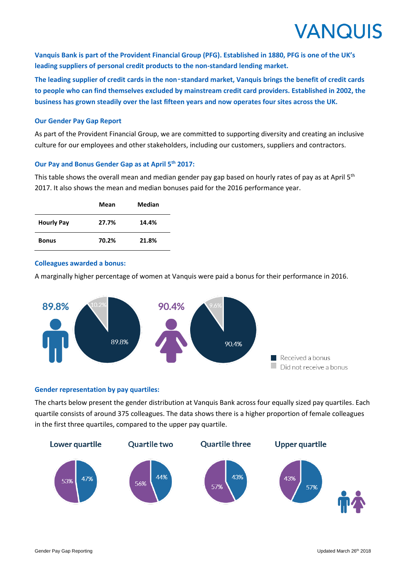# **VANQUIS**

**Vanquis Bank is part of the Provident Financial Group (PFG). Established in 1880, PFG is one of the UK's leading suppliers of personal credit products to the non-standard lending market.**

**The leading supplier of credit cards in the non**‑**standard market, Vanquis brings the benefit of credit cards to people who can find themselves excluded by mainstream credit card providers. Established in 2002, the business has grown steadily over the last fifteen years and now operates four sites across the UK.** 

### **Our Gender Pay Gap Report**

As part of the Provident Financial Group, we are committed to supporting diversity and creating an inclusive culture for our employees and other stakeholders, including our customers, suppliers and contractors.

## **Our Pay and Bonus Gender Gap as at April 5th 2017:**

This table shows the overall mean and median gender pay gap based on hourly rates of pay as at April 5<sup>th</sup> 2017. It also shows the mean and median bonuses paid for the 2016 performance year.

|                   | Mean  | Median |
|-------------------|-------|--------|
| <b>Hourly Pay</b> | 27.7% | 14.4%  |
| <b>Bonus</b>      | 70.2% | 21.8%  |

#### **Colleagues awarded a bonus:**

A marginally higher percentage of women at Vanquis were paid a bonus for their performance in 2016.



#### **Gender representation by pay quartiles:**

The charts below present the gender distribution at Vanquis Bank across four equally sized pay quartiles. Each quartile consists of around 375 colleagues. The data shows there is a higher proportion of female colleagues in the first three quartiles, compared to the upper pay quartile.